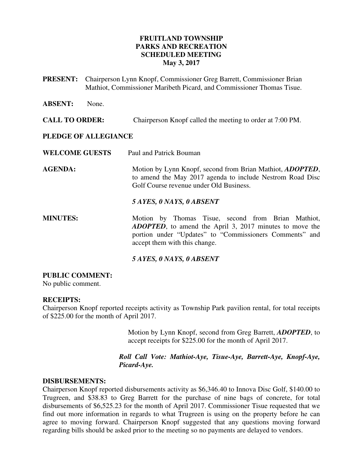### **FRUITLAND TOWNSHIP PARKS AND RECREATION SCHEDULED MEETING May 3, 2017**

**PRESENT:** Chairperson Lynn Knopf, Commissioner Greg Barrett, Commissioner Brian Mathiot, Commissioner Maribeth Picard, and Commissioner Thomas Tisue.

**ABSENT:** None.

### **CALL TO ORDER:** Chairperson Knopf called the meeting to order at 7:00 PM.

### **PLEDGE OF ALLEGIANCE**

**WELCOME GUESTS** Paul and Patrick Bouman

**AGENDA:** Motion by Lynn Knopf, second from Brian Mathiot, *ADOPTED*, to amend the May 2017 agenda to include Nestrom Road Disc Golf Course revenue under Old Business.

#### *5 AYES, 0 NAYS, 0 ABSENT*

**MINUTES:** Motion by Thomas Tisue, second from Brian Mathiot, *ADOPTED*, to amend the April 3, 2017 minutes to move the portion under "Updates" to "Commissioners Comments" and accept them with this change.

### *5 AYES, 0 NAYS, 0 ABSENT*

#### **PUBLIC COMMENT:**

No public comment.

### **RECEIPTS:**

Chairperson Knopf reported receipts activity as Township Park pavilion rental, for total receipts of \$225.00 for the month of April 2017.

> Motion by Lynn Knopf, second from Greg Barrett, *ADOPTED*, to accept receipts for \$225.00 for the month of April 2017.

### *Roll Call Vote: Mathiot-Aye, Tisue-Aye, Barrett-Aye, Knopf-Aye, Picard-Aye.*

#### **DISBURSEMENTS:**

Chairperson Knopf reported disbursements activity as \$6,346.40 to Innova Disc Golf, \$140.00 to Trugreen, and \$38.83 to Greg Barrett for the purchase of nine bags of concrete, for total disbursements of \$6,525.23 for the month of April 2017. Commissioner Tisue requested that we find out more information in regards to what Trugreen is using on the property before he can agree to moving forward. Chairperson Knopf suggested that any questions moving forward regarding bills should be asked prior to the meeting so no payments are delayed to vendors.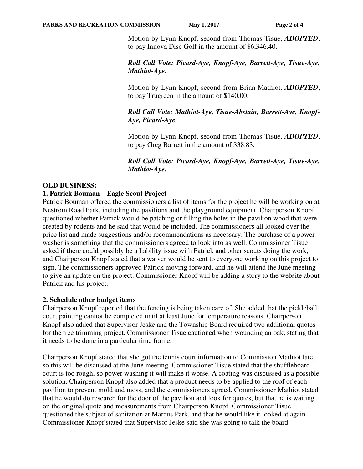Motion by Lynn Knopf, second from Thomas Tisue, *ADOPTED*, to pay Innova Disc Golf in the amount of \$6,346.40.

### *Roll Call Vote: Picard-Aye, Knopf-Aye, Barrett-Aye, Tisue-Aye, Mathiot-Aye.*

Motion by Lynn Knopf, second from Brian Mathiot, *ADOPTED*, to pay Trugreen in the amount of \$140.00.

### *Roll Call Vote: Mathiot-Aye, Tisue-Abstain, Barrett-Aye, Knopf-Aye, Picard-Aye*

Motion by Lynn Knopf, second from Thomas Tisue, *ADOPTED*, to pay Greg Barrett in the amount of \$38.83.

 *Roll Call Vote: Picard-Aye, Knopf-Aye, Barrett-Aye, Tisue-Aye, Mathiot-Aye.* 

### **OLD BUSINESS:**

### **1. Patrick Bouman – Eagle Scout Project**

Patrick Bouman offered the commissioners a list of items for the project he will be working on at Nestrom Road Park, including the pavilions and the playground equipment. Chairperson Knopf questioned whether Patrick would be patching or filling the holes in the pavilion wood that were created by rodents and he said that would be included. The commissioners all looked over the price list and made suggestions and/or recommendations as necessary. The purchase of a power washer is something that the commissioners agreed to look into as well. Commissioner Tisue asked if there could possibly be a liability issue with Patrick and other scouts doing the work, and Chairperson Knopf stated that a waiver would be sent to everyone working on this project to sign. The commissioners approved Patrick moving forward, and he will attend the June meeting to give an update on the project. Commissioner Knopf will be adding a story to the website about Patrick and his project.

### **2. Schedule other budget items**

Chairperson Knopf reported that the fencing is being taken care of. She added that the pickleball court painting cannot be completed until at least June for temperature reasons. Chairperson Knopf also added that Supervisor Jeske and the Township Board required two additional quotes for the tree trimming project. Commissioner Tisue cautioned when wounding an oak, stating that it needs to be done in a particular time frame.

Chairperson Knopf stated that she got the tennis court information to Commission Mathiot late, so this will be discussed at the June meeting. Commissioner Tisue stated that the shuffleboard court is too rough, so power washing it will make it worse. A coating was discussed as a possible solution. Chairperson Knopf also added that a product needs to be applied to the roof of each pavilion to prevent mold and moss, and the commissioners agreed. Commissioner Mathiot stated that he would do research for the door of the pavilion and look for quotes, but that he is waiting on the original quote and measurements from Chairperson Knopf. Commissioner Tisue questioned the subject of sanitation at Marcus Park, and that he would like it looked at again. Commissioner Knopf stated that Supervisor Jeske said she was going to talk the board.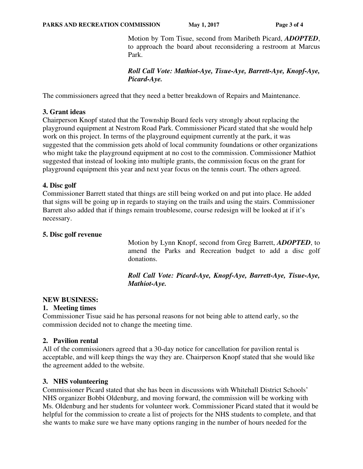Motion by Tom Tisue, second from Maribeth Picard, *ADOPTED*, to approach the board about reconsidering a restroom at Marcus Park.

 *Roll Call Vote: Mathiot-Aye, Tisue-Aye, Barrett-Aye, Knopf-Aye, Picard-Aye.* 

The commissioners agreed that they need a better breakdown of Repairs and Maintenance.

### **3. Grant ideas**

Chairperson Knopf stated that the Township Board feels very strongly about replacing the playground equipment at Nestrom Road Park. Commissioner Picard stated that she would help work on this project. In terms of the playground equipment currently at the park, it was suggested that the commission gets ahold of local community foundations or other organizations who might take the playground equipment at no cost to the commission. Commissioner Mathiot suggested that instead of looking into multiple grants, the commission focus on the grant for playground equipment this year and next year focus on the tennis court. The others agreed.

### **4. Disc golf**

Commissioner Barrett stated that things are still being worked on and put into place. He added that signs will be going up in regards to staying on the trails and using the stairs. Commissioner Barrett also added that if things remain troublesome, course redesign will be looked at if it's necessary.

#### **5. Disc golf revenue**

Motion by Lynn Knopf, second from Greg Barrett, *ADOPTED*, to amend the Parks and Recreation budget to add a disc golf donations.

 *Roll Call Vote: Picard-Aye, Knopf-Aye, Barrett-Aye, Tisue-Aye, Mathiot-Aye.* 

### **NEW BUSINESS:**

### **1. Meeting times**

Commissioner Tisue said he has personal reasons for not being able to attend early, so the commission decided not to change the meeting time.

### **2. Pavilion rental**

All of the commissioners agreed that a 30-day notice for cancellation for pavilion rental is acceptable, and will keep things the way they are. Chairperson Knopf stated that she would like the agreement added to the website.

### **3. NHS volunteering**

Commissioner Picard stated that she has been in discussions with Whitehall District Schools' NHS organizer Bobbi Oldenburg, and moving forward, the commission will be working with Ms. Oldenburg and her students for volunteer work. Commissioner Picard stated that it would be helpful for the commission to create a list of projects for the NHS students to complete, and that she wants to make sure we have many options ranging in the number of hours needed for the